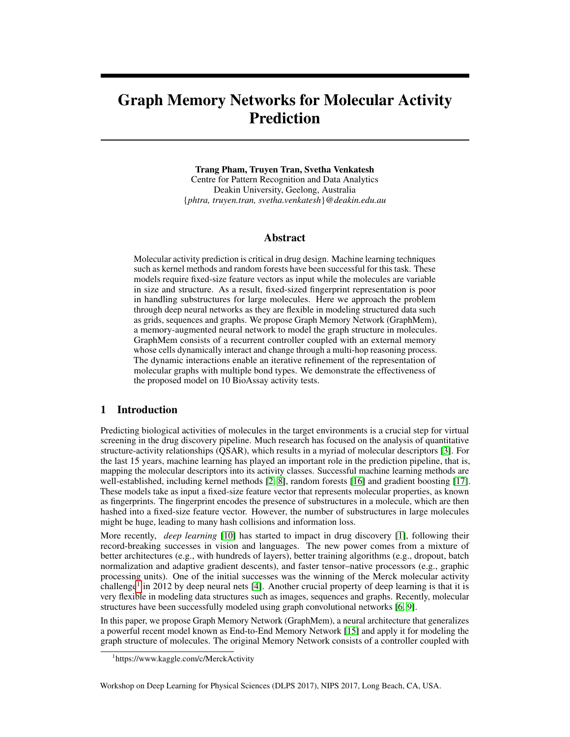# Graph Memory Networks for Molecular Activity Prediction

#### Trang Pham, Truyen Tran, Svetha Venkatesh

Centre for Pattern Recognition and Data Analytics Deakin University, Geelong, Australia {*phtra, truyen.tran, svetha.venkatesh*}*@deakin.edu.au*

#### Abstract

Molecular activity prediction is critical in drug design. Machine learning techniques such as kernel methods and random forests have been successful for this task. These models require fixed-size feature vectors as input while the molecules are variable in size and structure. As a result, fixed-sized fingerprint representation is poor in handling substructures for large molecules. Here we approach the problem through deep neural networks as they are flexible in modeling structured data such as grids, sequences and graphs. We propose Graph Memory Network (GraphMem), a memory-augmented neural network to model the graph structure in molecules. GraphMem consists of a recurrent controller coupled with an external memory whose cells dynamically interact and change through a multi-hop reasoning process. The dynamic interactions enable an iterative refinement of the representation of molecular graphs with multiple bond types. We demonstrate the effectiveness of the proposed model on 10 BioAssay activity tests.

# 1 Introduction

Predicting biological activities of molecules in the target environments is a crucial step for virtual screening in the drug discovery pipeline. Much research has focused on the analysis of quantitative structure-activity relationships (QSAR), which results in a myriad of molecular descriptors [\[3\]](#page-4-0). For the last 15 years, machine learning has played an important role in the prediction pipeline, that is, mapping the molecular descriptors into its activity classes. Successful machine learning methods are well-established, including kernel methods [\[2,](#page-4-1) [8\]](#page-4-2), random forests [\[16\]](#page-4-3) and gradient boosting [\[17\]](#page-5-0). These models take as input a fixed-size feature vector that represents molecular properties, as known as fingerprints. The fingerprint encodes the presence of substructures in a molecule, which are then hashed into a fixed-size feature vector. However, the number of substructures in large molecules might be huge, leading to many hash collisions and information loss.

More recently, *deep learning* [\[10\]](#page-4-4) has started to impact in drug discovery [\[1\]](#page-4-5), following their record-breaking successes in vision and languages. The new power comes from a mixture of better architectures (e.g., with hundreds of layers), better training algorithms (e.g., dropout, batch normalization and adaptive gradient descents), and faster tensor–native processors (e.g., graphic processing units). One of the initial successes was the winning of the Merck molecular activity challenge<sup>[1](#page-0-0)</sup> in 2012 by deep neural nets [\[4\]](#page-4-6). Another crucial property of deep learning is that it is very flexible in modeling data structures such as images, sequences and graphs. Recently, molecular structures have been successfully modeled using graph convolutional networks [\[6,](#page-4-7) [9\]](#page-4-8).

In this paper, we propose Graph Memory Network (GraphMem), a neural architecture that generalizes a powerful recent model known as End-to-End Memory Network [\[15\]](#page-4-9) and apply it for modeling the graph structure of molecules. The original Memory Network consists of a controller coupled with

Workshop on Deep Learning for Physical Sciences (DLPS 2017), NIPS 2017, Long Beach, CA, USA.

<span id="page-0-0"></span><sup>1</sup> https://www.kaggle.com/c/MerckActivity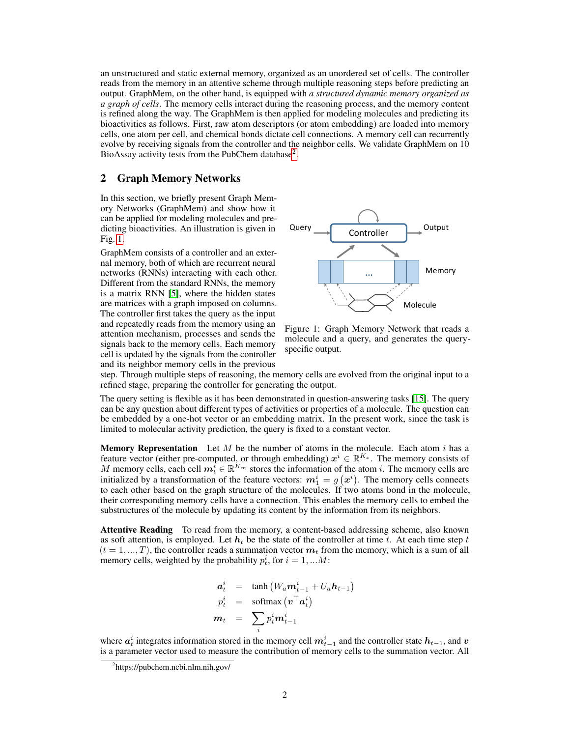an unstructured and static external memory, organized as an unordered set of cells. The controller reads from the memory in an attentive scheme through multiple reasoning steps before predicting an output. GraphMem, on the other hand, is equipped with *a structured dynamic memory organized as a graph of cells*. The memory cells interact during the reasoning process, and the memory content is refined along the way. The GraphMem is then applied for modeling molecules and predicting its bioactivities as follows. First, raw atom descriptors (or atom embedding) are loaded into memory cells, one atom per cell, and chemical bonds dictate cell connections. A memory cell can recurrently evolve by receiving signals from the controller and the neighbor cells. We validate GraphMem on 10 BioAssay activity tests from the PubChem database<sup>[2](#page-1-0)</sup>.

#### 2 Graph Memory Networks

In this section, we briefly present Graph Memory Networks (GraphMem) and show how it can be applied for modeling molecules and predicting bioactivities. An illustration is given in Fig. [1.](#page-1-1)

GraphMem consists of a controller and an external memory, both of which are recurrent neural networks (RNNs) interacting with each other. Different from the standard RNNs, the memory is a matrix RNN [\[5\]](#page-4-10), where the hidden states are matrices with a graph imposed on columns. The controller first takes the query as the input and repeatedly reads from the memory using an attention mechanism, processes and sends the signals back to the memory cells. Each memory cell is updated by the signals from the controller and its neighbor memory cells in the previous



<span id="page-1-1"></span>Figure 1: Graph Memory Network that reads a molecule and a query, and generates the queryspecific output.

step. Through multiple steps of reasoning, the memory cells are evolved from the original input to a refined stage, preparing the controller for generating the output.

The query setting is flexible as it has been demonstrated in question-answering tasks [\[15\]](#page-4-9). The query can be any question about different types of activities or properties of a molecule. The question can be embedded by a one-hot vector or an embedding matrix. In the present work, since the task is limited to molecular activity prediction, the query is fixed to a constant vector.

**Memory Representation** Let  $M$  be the number of atoms in the molecule. Each atom  $i$  has a feature vector (either pre-computed, or through embedding)  $x^i \in \mathbb{R}^{K_x}$ . The memory consists of *M* memory cells, each cell  $m_t^i \in \mathbb{R}^{K_m}$  stores the information of the atom *i*. The memory cells are initialized by a transformation of the feature vectors:  $m_1^i = g(x^i)$ . The memory cells connects to each other based on the graph structure of the molecules. If two atoms bond in the molecule, their corresponding memory cells have a connection. This enables the memory cells to embed the substructures of the molecule by updating its content by the information from its neighbors.

Attentive Reading To read from the memory, a content-based addressing scheme, also known as soft attention, is employed. Let  $h_t$  be the state of the controller at time *t*. At each time step  $t$  $(t = 1, ..., T)$ , the controller reads a summation vector  $m_t$  from the memory, which is a sum of all memory cells, weighted by the probability  $p_t^i$ , for  $i = 1, ...M$ :

$$
\begin{array}{rcl}\n\mathbf{a}_t^i & = & \tanh\left(W_a \mathbf{m}_{t-1}^i + U_a \mathbf{h}_{t-1}\right) \\
p_t^i & = & \text{softmax}\left(\mathbf{v}^\top \mathbf{a}_t^i\right) \\
\mathbf{m}_t & = & \sum_i p_t^i \mathbf{m}_{t-1}^i\n\end{array}
$$

where  $a_t^i$  integrates information stored in the memory cell  $m_{t-1}^i$  and the controller state  $h_{t-1}$ , and  $v$ is a parameter vector used to measure the contribution of memory cells to the summation vector. All

<span id="page-1-0"></span><sup>2</sup> https://pubchem.ncbi.nlm.nih.gov/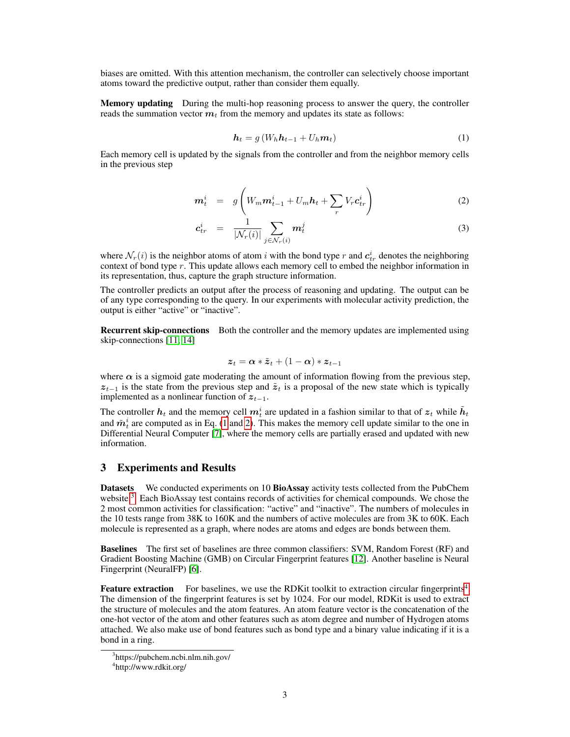biases are omitted. With this attention mechanism, the controller can selectively choose important atoms toward the predictive output, rather than consider them equally.

Memory updating During the multi-hop reasoning process to answer the query, the controller reads the summation vector  $m_t$  from the memory and updates its state as follows:

<span id="page-2-0"></span>
$$
\boldsymbol{h}_t = g\left(W_h \boldsymbol{h}_{t-1} + U_h \boldsymbol{m}_t\right) \tag{1}
$$

Each memory cell is updated by the signals from the controller and from the neighbor memory cells in the previous step

<span id="page-2-1"></span>
$$
\boldsymbol{m}_t^i = g \left( W_m \boldsymbol{m}_{t-1}^i + U_m \boldsymbol{h}_t + \sum_r V_r \boldsymbol{c}_{tr}^i \right) \tag{2}
$$

$$
\boldsymbol{c}_{tr}^{i} = \frac{1}{|\mathcal{N}_r(i)|} \sum_{j \in \mathcal{N}_r(i)} \boldsymbol{m}_t^{j}
$$
(3)

where  $\mathcal{N}_r(i)$  is the neighbor atoms of atom *i* with the bond type *r* and  $c_{tr}^i$  denotes the neighboring context of bond type *r*. This update allows each memory cell to embed the neighbor information in its representation, thus, capture the graph structure information.

The controller predicts an output after the process of reasoning and updating. The output can be of any type corresponding to the query. In our experiments with molecular activity prediction, the output is either "active" or "inactive".

**Recurrent skip-connections** Both the controller and the memory updates are implemented using skip-connections [\[11,](#page-4-11) [14\]](#page-4-12)

$$
\boldsymbol{z}_t = \boldsymbol{\alpha} * \tilde{\boldsymbol{z}}_t + (1 - \boldsymbol{\alpha}) * \boldsymbol{z}_{t-1}
$$

where  $\alpha$  is a sigmoid gate moderating the amount of information flowing from the previous step,  $z_{t-1}$  is the state from the previous step and  $\tilde{z}_t$  is a proposal of the new state which is typically implemented as a nonlinear function of  $z_{t-1}$ .

The controller  $h_t$  and the memory cell  $m_t^i$  are updated in a fashion similar to that of  $z_t$  while  $\tilde{h}_t$ and  $\tilde{m}^i_t$  are computed as in Eq. [\(1](#page-2-0) and [2\)](#page-2-1). This makes the memory cell update similar to the one in Differential Neural Computer [\[7\]](#page-4-13), where the memory cells are partially erased and updated with new information.

## 3 Experiments and Results

Datasets We conducted experiments on 10 BioAssay activity tests collected from the PubChem website <sup>[3](#page-2-2)</sup>. Each BioAssay test contains records of activities for chemical compounds. We chose the 2 most common activities for classification: "active" and "inactive". The numbers of molecules in the 10 tests range from 38K to 160K and the numbers of active molecules are from 3K to 60K. Each molecule is represented as a graph, where nodes are atoms and edges are bonds between them.

Baselines The first set of baselines are three common classifiers: SVM, Random Forest (RF) and Gradient Boosting Machine (GMB) on Circular Fingerprint features [\[12\]](#page-4-14). Another baseline is Neural Fingerprint (NeuralFP) [\[6\]](#page-4-7).

Feature extraction For baselines, we use the RDKit toolkit to extraction circular fingerprints<sup>[4](#page-2-3)</sup>. The dimension of the fingerprint features is set by 1024. For our model, RDKit is used to extract the structure of molecules and the atom features. An atom feature vector is the concatenation of the one-hot vector of the atom and other features such as atom degree and number of Hydrogen atoms attached. We also make use of bond features such as bond type and a binary value indicating if it is a bond in a ring.

<span id="page-2-2"></span><sup>3</sup> https://pubchem.ncbi.nlm.nih.gov/

<span id="page-2-3"></span><sup>4</sup> http://www.rdkit.org/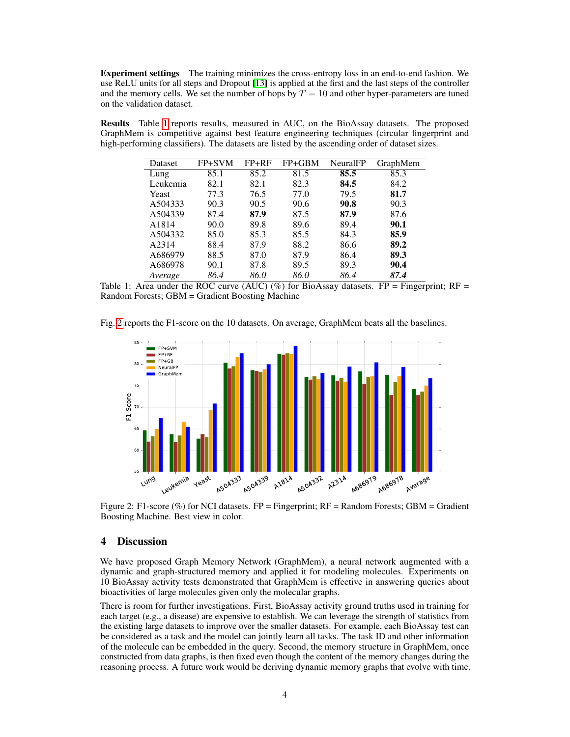Experiment settings The training minimizes the cross-entropy loss in an end-to-end fashion. We use ReLU units for all steps and Dropout [\[13\]](#page-4-15) is applied at the first and the last steps of the controller and the memory cells. We set the number of hops by  $T = 10$  and other hyper-parameters are tuned on the validation dataset.

Results Table [1](#page-3-0) reports results, measured in AUC, on the BioAssay datasets. The proposed GraphMem is competitive against best feature engineering techniques (circular fingerprint and high-performing classifiers). The datasets are listed by the ascending order of dataset sizes.

| Dataset  | FP+SVM | $FP+RF$ | $FP+GBM$ | NeuralFP | GraphMem |
|----------|--------|---------|----------|----------|----------|
| Lung     | 85.1   | 85.2    | 81.5     | 85.5     | 85.3     |
| Leukemia | 82.1   | 82.1    | 82.3     | 84.5     | 84.2     |
| Yeast    | 77.3   | 76.5    | 77.0     | 79.5     | 81.7     |
| A504333  | 90.3   | 90.5    | 90.6     | 90.8     | 90.3     |
| A504339  | 87.4   | 87.9    | 87.5     | 87.9     | 87.6     |
| A1814    | 90.0   | 89.8    | 89.6     | 89.4     | 90.1     |
| A504332  | 85.0   | 85.3    | 85.5     | 84.3     | 85.9     |
| A2314    | 88.4   | 87.9    | 88.2     | 86.6     | 89.2     |
| A686979  | 88.5   | 87.0    | 87.9     | 86.4     | 89.3     |
| A686978  | 90.1   | 87.8    | 89.5     | 89.3     | 90.4     |
| Average  | 86.4   | 86.0    | 86.0     | 86.4     | 87.4     |

<span id="page-3-0"></span>Table 1: Area under the ROC curve (AUC) (%) for BioAssay datasets. FP = Fingerprint; RF = Random Forests; GBM = Gradient Boosting Machine

Fig. [2](#page-3-1) reports the F1-score on the 10 datasets. On average, GraphMem beats all the baselines.



<span id="page-3-1"></span>Figure 2: F1-score (%) for NCI datasets. FP = Fingerprint; RF = Random Forests; GBM = Gradient Boosting Machine. Best view in color.

### 4 Discussion

We have proposed Graph Memory Network (GraphMem), a neural network augmented with a dynamic and graph-structured memory and applied it for modeling molecules. Experiments on 10 BioAssay activity tests demonstrated that GraphMem is effective in answering queries about bioactivities of large molecules given only the molecular graphs.

There is room for further investigations. First, BioAssay activity ground truths used in training for each target (e.g., a disease) are expensive to establish. We can leverage the strength of statistics from the existing large datasets to improve over the smaller datasets. For example, each BioAssay test can be considered as a task and the model can jointly learn all tasks. The task ID and other information of the molecule can be embedded in the query. Second, the memory structure in GraphMem, once constructed from data graphs, is then fixed even though the content of the memory changes during the reasoning process. A future work would be deriving dynamic memory graphs that evolve with time.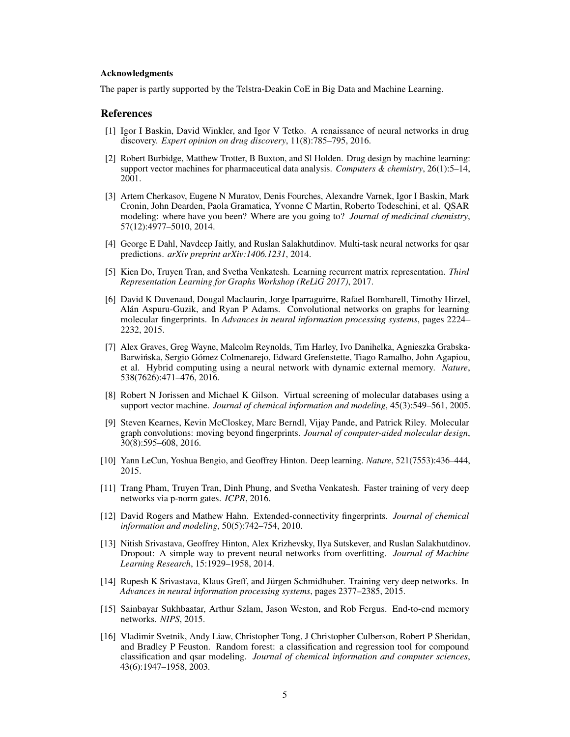#### Acknowledgments

The paper is partly supported by the Telstra-Deakin CoE in Big Data and Machine Learning.

### References

- <span id="page-4-5"></span>[1] Igor I Baskin, David Winkler, and Igor V Tetko. A renaissance of neural networks in drug discovery. *Expert opinion on drug discovery*, 11(8):785–795, 2016.
- <span id="page-4-1"></span>[2] Robert Burbidge, Matthew Trotter, B Buxton, and Sl Holden. Drug design by machine learning: support vector machines for pharmaceutical data analysis. *Computers & chemistry*, 26(1):5–14, 2001.
- <span id="page-4-0"></span>[3] Artem Cherkasov, Eugene N Muratov, Denis Fourches, Alexandre Varnek, Igor I Baskin, Mark Cronin, John Dearden, Paola Gramatica, Yvonne C Martin, Roberto Todeschini, et al. QSAR modeling: where have you been? Where are you going to? *Journal of medicinal chemistry*, 57(12):4977–5010, 2014.
- <span id="page-4-6"></span>[4] George E Dahl, Navdeep Jaitly, and Ruslan Salakhutdinov. Multi-task neural networks for qsar predictions. *arXiv preprint arXiv:1406.1231*, 2014.
- <span id="page-4-10"></span>[5] Kien Do, Truyen Tran, and Svetha Venkatesh. Learning recurrent matrix representation. *Third Representation Learning for Graphs Workshop (ReLiG 2017)*, 2017.
- <span id="page-4-7"></span>[6] David K Duvenaud, Dougal Maclaurin, Jorge Iparraguirre, Rafael Bombarell, Timothy Hirzel, Alán Aspuru-Guzik, and Ryan P Adams. Convolutional networks on graphs for learning molecular fingerprints. In *Advances in neural information processing systems*, pages 2224– 2232, 2015.
- <span id="page-4-13"></span>[7] Alex Graves, Greg Wayne, Malcolm Reynolds, Tim Harley, Ivo Danihelka, Agnieszka Grabska-Barwinska, Sergio Gómez Colmenarejo, Edward Grefenstette, Tiago Ramalho, John Agapiou, ´ et al. Hybrid computing using a neural network with dynamic external memory. *Nature*, 538(7626):471–476, 2016.
- <span id="page-4-2"></span>[8] Robert N Jorissen and Michael K Gilson. Virtual screening of molecular databases using a support vector machine. *Journal of chemical information and modeling*, 45(3):549–561, 2005.
- <span id="page-4-8"></span>[9] Steven Kearnes, Kevin McCloskey, Marc Berndl, Vijay Pande, and Patrick Riley. Molecular graph convolutions: moving beyond fingerprints. *Journal of computer-aided molecular design*, 30(8):595–608, 2016.
- <span id="page-4-4"></span>[10] Yann LeCun, Yoshua Bengio, and Geoffrey Hinton. Deep learning. *Nature*, 521(7553):436–444, 2015.
- <span id="page-4-11"></span>[11] Trang Pham, Truyen Tran, Dinh Phung, and Svetha Venkatesh. Faster training of very deep networks via p-norm gates. *ICPR*, 2016.
- <span id="page-4-14"></span>[12] David Rogers and Mathew Hahn. Extended-connectivity fingerprints. *Journal of chemical information and modeling*, 50(5):742–754, 2010.
- <span id="page-4-15"></span>[13] Nitish Srivastava, Geoffrey Hinton, Alex Krizhevsky, Ilya Sutskever, and Ruslan Salakhutdinov. Dropout: A simple way to prevent neural networks from overfitting. *Journal of Machine Learning Research*, 15:1929–1958, 2014.
- <span id="page-4-12"></span>[14] Rupesh K Srivastava, Klaus Greff, and Jürgen Schmidhuber. Training very deep networks. In *Advances in neural information processing systems*, pages 2377–2385, 2015.
- <span id="page-4-9"></span>[15] Sainbayar Sukhbaatar, Arthur Szlam, Jason Weston, and Rob Fergus. End-to-end memory networks. *NIPS*, 2015.
- <span id="page-4-3"></span>[16] Vladimir Svetnik, Andy Liaw, Christopher Tong, J Christopher Culberson, Robert P Sheridan, and Bradley P Feuston. Random forest: a classification and regression tool for compound classification and qsar modeling. *Journal of chemical information and computer sciences*, 43(6):1947–1958, 2003.